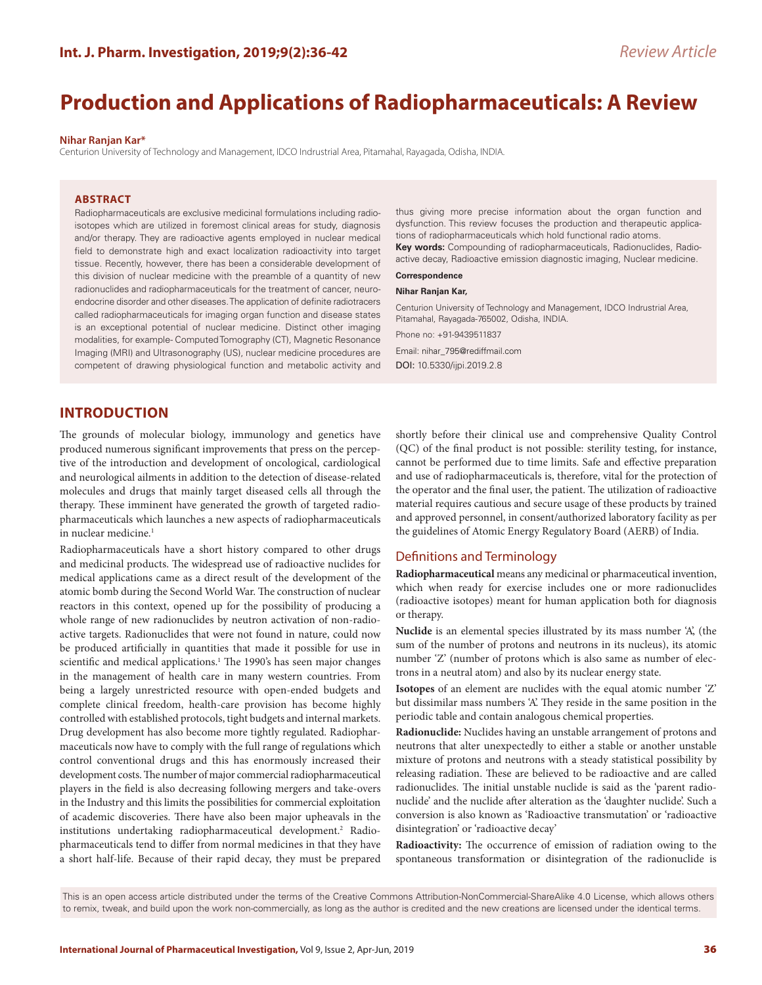# **Production and Applications of Radiopharmaceuticals: A Review**

#### **Nihar Ranjan Kar\***

Centurion University of Technology and Management, IDCO Indrustrial Area, Pitamahal, Rayagada, Odisha, INDIA.

## **ABSTRACT**

Radiopharmaceuticals are exclusive medicinal formulations including radioisotopes which are utilized in foremost clinical areas for study, diagnosis and/or therapy. They are radioactive agents employed in nuclear medical field to demonstrate high and exact localization radioactivity into target tissue. Recently, however, there has been a considerable development of this division of nuclear medicine with the preamble of a quantity of new radionuclides and radiopharmaceuticals for the treatment of cancer, neuroendocrine disorder and other diseases. The application of definite radiotracers called radiopharmaceuticals for imaging organ function and disease states is an exceptional potential of nuclear medicine. Distinct other imaging modalities, for example- Computed Tomography (CT), Magnetic Resonance Imaging (MRI) and Ultrasonography (US), nuclear medicine procedures are competent of drawing physiological function and metabolic activity and thus giving more precise information about the organ function and dysfunction. This review focuses the production and therapeutic applications of radiopharmaceuticals which hold functional radio atoms.

**Key words:** Compounding of radiopharmaceuticals, Radionuclides, Radioactive decay, Radioactive emission diagnostic imaging, Nuclear medicine.

#### **Correspondence**

#### **Nihar Ranjan Kar,**

Centurion University of Technology and Management, IDCO Indrustrial Area, Pitamahal, Rayagada-765002, Odisha, INDIA.

Phone no: +91-9439511837

Email: nihar\_795@rediffmail.com DOI: 10.5330/ijpi.2019.2.8

# **INTRODUCTION**

The grounds of molecular biology, immunology and genetics have produced numerous significant improvements that press on the perceptive of the introduction and development of oncological, cardiological and neurological ailments in addition to the detection of disease-related molecules and drugs that mainly target diseased cells all through the therapy. These imminent have generated the growth of targeted radiopharmaceuticals which launches a new aspects of radiopharmaceuticals in nuclear medicine.<sup>1</sup>

Radiopharmaceuticals have a short history compared to other drugs and medicinal products. The widespread use of radioactive nuclides for medical applications came as a direct result of the development of the atomic bomb during the Second World War. The construction of nuclear reactors in this context, opened up for the possibility of producing a whole range of new radionuclides by neutron activation of non-radioactive targets. Radionuclides that were not found in nature, could now be produced artificially in quantities that made it possible for use in scientific and medical applications.<sup>1</sup> The 1990's has seen major changes in the management of health care in many western countries. From being a largely unrestricted resource with open-ended budgets and complete clinical freedom, health-care provision has become highly controlled with established protocols, tight budgets and internal markets. Drug development has also become more tightly regulated. Radiopharmaceuticals now have to comply with the full range of regulations which control conventional drugs and this has enormously increased their development costs. The number of major commercial radiopharmaceutical players in the field is also decreasing following mergers and take-overs in the Industry and this limits the possibilities for commercial exploitation of academic discoveries. There have also been major upheavals in the institutions undertaking radiopharmaceutical development.<sup>2</sup> Radiopharmaceuticals tend to differ from normal medicines in that they have a short half-life. Because of their rapid decay, they must be prepared

shortly before their clinical use and comprehensive Quality Control (QC) of the final product is not possible: sterility testing, for instance, cannot be performed due to time limits. Safe and effective preparation and use of radiopharmaceuticals is, therefore, vital for the protection of the operator and the final user, the patient. The utilization of radioactive material requires cautious and secure usage of these products by trained and approved personnel, in consent/authorized laboratory facility as per the guidelines of Atomic Energy Regulatory Board (AERB) of India.

#### Definitions and Terminology

**Radiopharmaceutical** means any medicinal or pharmaceutical invention, which when ready for exercise includes one or more radionuclides (radioactive isotopes) meant for human application both for diagnosis or therapy.

**Nuclide** is an elemental species illustrated by its mass number 'A', (the sum of the number of protons and neutrons in its nucleus), its atomic number 'Z' (number of protons which is also same as number of electrons in a neutral atom) and also by its nuclear energy state.

**Isotopes** of an element are nuclides with the equal atomic number 'Z' but dissimilar mass numbers 'A'. They reside in the same position in the periodic table and contain analogous chemical properties.

**Radionuclide:** Nuclides having an unstable arrangement of protons and neutrons that alter unexpectedly to either a stable or another unstable mixture of protons and neutrons with a steady statistical possibility by releasing radiation. These are believed to be radioactive and are called radionuclides. The initial unstable nuclide is said as the 'parent radionuclide' and the nuclide after alteration as the 'daughter nuclide'. Such a conversion is also known as 'Radioactive transmutation' or 'radioactive disintegration' or 'radioactive decay'

**Radioactivity:** The occurrence of emission of radiation owing to the spontaneous transformation or disintegration of the radionuclide is

This is an open access article distributed under the terms of the Creative Commons Attribution-NonCommercial-ShareAlike 4.0 License, which allows others to remix, tweak, and build upon the work non-commercially, as long as the author is credited and the new creations are licensed under the identical terms.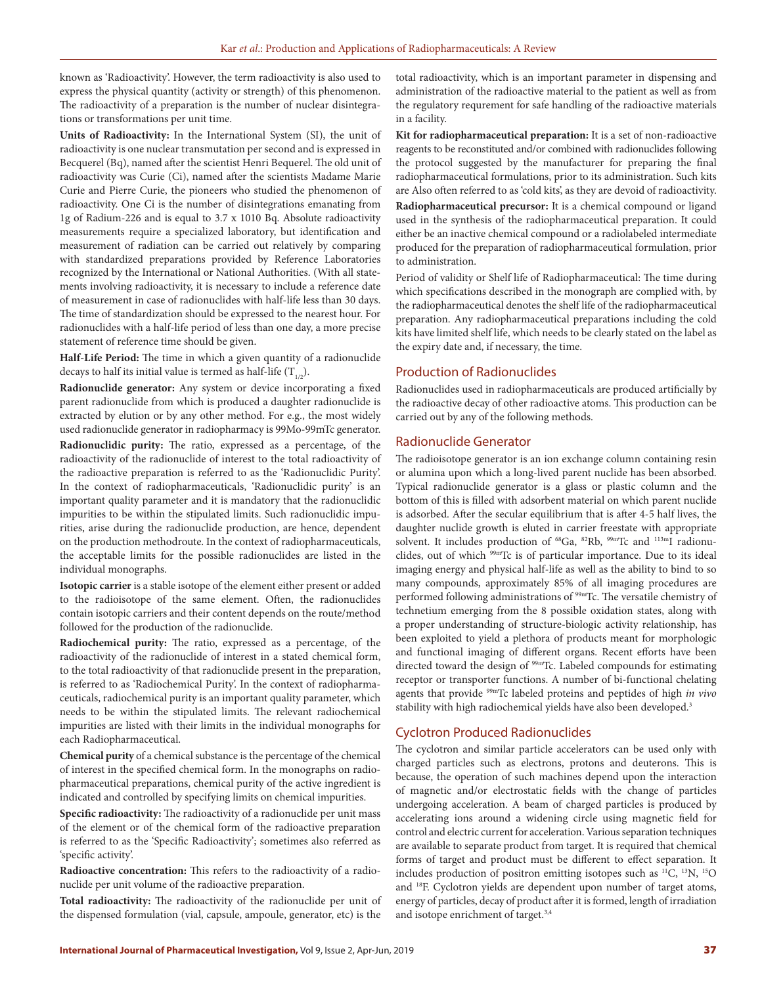known as 'Radioactivity'. However, the term radioactivity is also used to express the physical quantity (activity or strength) of this phenomenon. The radioactivity of a preparation is the number of nuclear disintegrations or transformations per unit time.

**Units of Radioactivity:** In the International System (SI), the unit of radioactivity is one nuclear transmutation per second and is expressed in Becquerel (Bq), named after the scientist Henri Bequerel. The old unit of radioactivity was Curie (Ci), named after the scientists Madame Marie Curie and Pierre Curie, the pioneers who studied the phenomenon of radioactivity. One Ci is the number of disintegrations emanating from 1g of Radium-226 and is equal to 3.7 x 1010 Bq. Absolute radioactivity measurements require a specialized laboratory, but identification and measurement of radiation can be carried out relatively by comparing with standardized preparations provided by Reference Laboratories recognized by the International or National Authorities. (With all statements involving radioactivity, it is necessary to include a reference date of measurement in case of radionuclides with half-life less than 30 days. The time of standardization should be expressed to the nearest hour. For radionuclides with a half-life period of less than one day, a more precise statement of reference time should be given.

**Half-Life Period:** The time in which a given quantity of a radionuclide decays to half its initial value is termed as half-life  $(T_{1/2})$ .

**Radionuclide generator:** Any system or device incorporating a fixed parent radionuclide from which is produced a daughter radionuclide is extracted by elution or by any other method. For e.g., the most widely used radionuclide generator in radiopharmacy is 99Mo-99mTc generator.

**Radionuclidic purity:** The ratio, expressed as a percentage, of the radioactivity of the radionuclide of interest to the total radioactivity of the radioactive preparation is referred to as the 'Radionuclidic Purity'. In the context of radiopharmaceuticals, 'Radionuclidic purity' is an important quality parameter and it is mandatory that the radionuclidic impurities to be within the stipulated limits. Such radionuclidic impurities, arise during the radionuclide production, are hence, dependent on the production methodroute. In the context of radiopharmaceuticals, the acceptable limits for the possible radionuclides are listed in the individual monographs.

**Isotopic carrier** is a stable isotope of the element either present or added to the radioisotope of the same element. Often, the radionuclides contain isotopic carriers and their content depends on the route/method followed for the production of the radionuclide.

**Radiochemical purity:** The ratio, expressed as a percentage, of the radioactivity of the radionuclide of interest in a stated chemical form, to the total radioactivity of that radionuclide present in the preparation, is referred to as 'Radiochemical Purity'. In the context of radiopharmaceuticals, radiochemical purity is an important quality parameter, which needs to be within the stipulated limits. The relevant radiochemical impurities are listed with their limits in the individual monographs for each Radiopharmaceutical.

**Chemical purity** of a chemical substance is the percentage of the chemical of interest in the specified chemical form. In the monographs on radiopharmaceutical preparations, chemical purity of the active ingredient is indicated and controlled by specifying limits on chemical impurities.

**Specific radioactivity:** The radioactivity of a radionuclide per unit mass of the element or of the chemical form of the radioactive preparation is referred to as the 'Specific Radioactivity'; sometimes also referred as 'specific activity'.

**Radioactive concentration:** This refers to the radioactivity of a radionuclide per unit volume of the radioactive preparation.

**Total radioactivity:** The radioactivity of the radionuclide per unit of the dispensed formulation (vial, capsule, ampoule, generator, etc) is the

total radioactivity, which is an important parameter in dispensing and administration of the radioactive material to the patient as well as from the regulatory requrement for safe handling of the radioactive materials in a facility.

**Kit for radiopharmaceutical preparation:** It is a set of non-radioactive reagents to be reconstituted and/or combined with radionuclides following the protocol suggested by the manufacturer for preparing the final radiopharmaceutical formulations, prior to its administration. Such kits are Also often referred to as 'cold kits', as they are devoid of radioactivity. **Radiopharmaceutical precursor:** It is a chemical compound or ligand used in the synthesis of the radiopharmaceutical preparation. It could either be an inactive chemical compound or a radiolabeled intermediate produced for the preparation of radiopharmaceutical formulation, prior to administration.

Period of validity or Shelf life of Radiopharmaceutical: The time during which specifications described in the monograph are complied with, by the radiopharmaceutical denotes the shelf life of the radiopharmaceutical preparation. Any radiopharmaceutical preparations including the cold kits have limited shelf life, which needs to be clearly stated on the label as the expiry date and, if necessary, the time.

#### Production of Radionuclides

Radionuclides used in radiopharmaceuticals are produced artificially by the radioactive decay of other radioactive atoms. This production can be carried out by any of the following methods.

#### Radionuclide Generator

The radioisotope generator is an ion exchange column containing resin or alumina upon which a long-lived parent nuclide has been absorbed. Typical radionuclide generator is a glass or plastic column and the bottom of this is filled with adsorbent material on which parent nuclide is adsorbed. After the secular equilibrium that is after 4-5 half lives, the daughter nuclide growth is eluted in carrier freestate with appropriate solvent. It includes production of  $^{68}Ga$ ,  $^{82}Rb$ ,  $^{99m}Tc$  and  $^{113m}I$  radionuclides, out of which 99mTc is of particular importance. Due to its ideal imaging energy and physical half-life as well as the ability to bind to so many compounds, approximately 85% of all imaging procedures are performed following administrations of 99mTc. The versatile chemistry of technetium emerging from the 8 possible oxidation states, along with a proper understanding of structure-biologic activity relationship, has been exploited to yield a plethora of products meant for morphologic and functional imaging of different organs. Recent efforts have been directed toward the design of <sup>99mT</sup>c. Labeled compounds for estimating receptor or transporter functions. A number of bi-functional chelating agents that provide 99mTc labeled proteins and peptides of high *in vivo* stability with high radiochemical yields have also been developed.<sup>3</sup>

## Cyclotron Produced Radionuclides

The cyclotron and similar particle accelerators can be used only with charged particles such as electrons, protons and deuterons. This is because, the operation of such machines depend upon the interaction of magnetic and/or electrostatic fields with the change of particles undergoing acceleration. A beam of charged particles is produced by accelerating ions around a widening circle using magnetic field for control and electric current for acceleration. Various separation techniques are available to separate product from target. It is required that chemical forms of target and product must be different to effect separation. It includes production of positron emitting isotopes such as 11C, 13N, 15O and 18F. Cyclotron yields are dependent upon number of target atoms, energy of particles, decay of product after it is formed, length of irradiation and isotope enrichment of target.3,4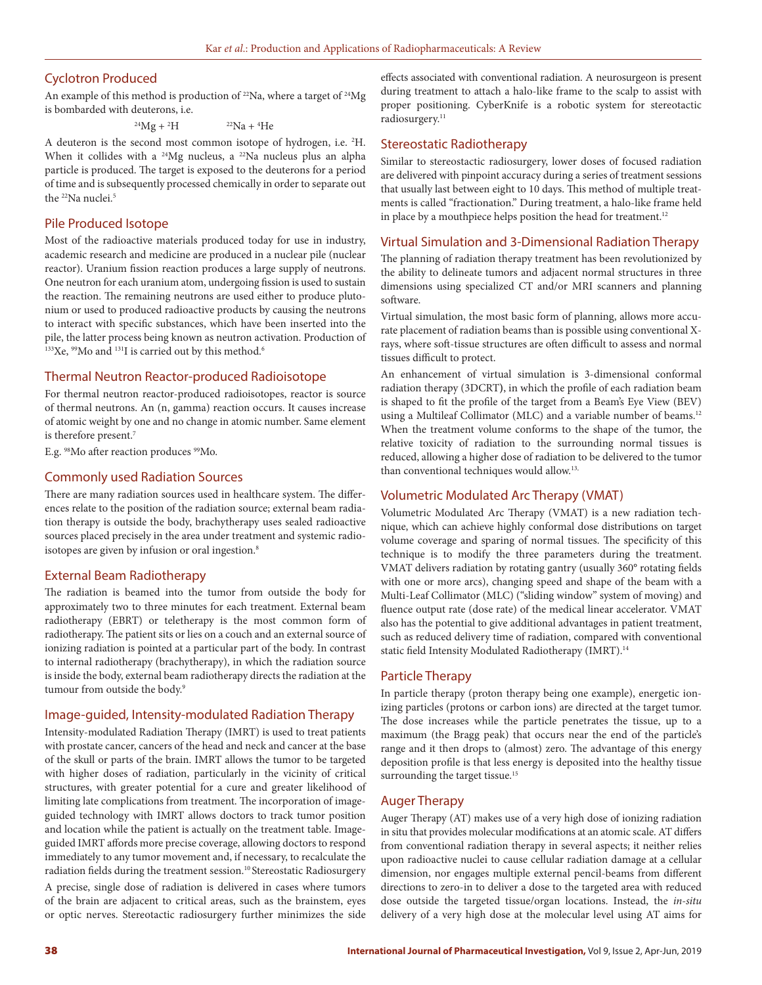## Cyclotron Produced

An example of this method is production of  $^{22}$ Na, where a target of  $^{24}$ Mg is bombarded with deuterons, i.e.

> $^{24}Mg + ^2H$ H  $^{22}Na + ^4He$

A deuteron is the second most common isotope of hydrogen, i.e. 2 H. When it collides with a <sup>24</sup>Mg nucleus, a <sup>22</sup>Na nucleus plus an alpha particle is produced. The target is exposed to the deuterons for a period of time and is subsequently processed chemically in order to separate out the <sup>22</sup>Na nuclei.<sup>5</sup>

## Pile Produced Isotope

Most of the radioactive materials produced today for use in industry, academic research and medicine are produced in a nuclear pile (nuclear reactor). Uranium fission reaction produces a large supply of neutrons. One neutron for each uranium atom, undergoing fission is used to sustain the reaction. The remaining neutrons are used either to produce plutonium or used to produced radioactive products by causing the neutrons to interact with specific substances, which have been inserted into the pile, the latter process being known as neutron activation. Production of  $133$ Xe,  $99$ Mo and  $131$ I is carried out by this method.<sup>6</sup>

## Thermal Neutron Reactor-produced Radioisotope

For thermal neutron reactor-produced radioisotopes, reactor is source of thermal neutrons. An (n, gamma) reaction occurs. It causes increase of atomic weight by one and no change in atomic number. Same element is therefore present.7

E.g. 98Mo after reaction produces 99Mo.

### Commonly used Radiation Sources

There are many radiation sources used in healthcare system. The differences relate to the position of the radiation source; external beam radiation therapy is outside the body, brachytherapy uses sealed radioactive sources placed precisely in the area under treatment and systemic radioisotopes are given by infusion or oral ingestion.<sup>8</sup>

## External Beam Radiotherapy

The radiation is beamed into the tumor from outside the body for approximately two to three minutes for each treatment. External beam radiotherapy (EBRT) or teletherapy is the most common form of radiotherapy. The patient sits or lies on a couch and an external source of ionizing radiation is pointed at a particular part of the body. In contrast to internal radiotherapy (brachytherapy), in which the radiation source is inside the body, external beam radiotherapy directs the radiation at the tumour from outside the body.<sup>9</sup>

#### Image-guided, Intensity-modulated Radiation Therapy

Intensity-modulated Radiation Therapy (IMRT) is used to treat patients with prostate cancer, cancers of the head and neck and cancer at the base of the skull or parts of the brain. IMRT allows the tumor to be targeted with higher doses of radiation, particularly in the vicinity of critical structures, with greater potential for a cure and greater likelihood of limiting late complications from treatment. The incorporation of imageguided technology with IMRT allows doctors to track tumor position and location while the patient is actually on the treatment table. Imageguided IMRT affords more precise coverage, allowing doctors to respond immediately to any tumor movement and, if necessary, to recalculate the radiation fields during the treatment session.<sup>10</sup> Stereostatic Radiosurgery

A precise, single dose of radiation is delivered in cases where tumors of the brain are adjacent to critical areas, such as the brainstem, eyes or optic nerves. Stereotactic radiosurgery further minimizes the side effects associated with conventional radiation. A neurosurgeon is present during treatment to attach a halo-like frame to the scalp to assist with proper positioning. CyberKnife is a robotic system for stereotactic radiosurgery.<sup>11</sup>

## Stereostatic Radiotherapy

Similar to stereostactic radiosurgery, lower doses of focused radiation are delivered with pinpoint accuracy during a series of treatment sessions that usually last between eight to 10 days. This method of multiple treatments is called "fractionation." During treatment, a halo-like frame held in place by a mouthpiece helps position the head for treatment.<sup>12</sup>

#### Virtual Simulation and 3-Dimensional Radiation Therapy

The planning of radiation therapy treatment has been revolutionized by the ability to delineate tumors and adjacent normal structures in three dimensions using specialized CT and/or MRI scanners and planning software.

Virtual simulation, the most basic form of planning, allows more accurate placement of radiation beams than is possible using conventional Xrays, where soft-tissue structures are often difficult to assess and normal tissues difficult to protect.

An enhancement of virtual simulation is 3-dimensional conformal radiation therapy (3DCRT**)**, in which the profile of each radiation beam is shaped to fit the profile of the target from a Beam's Eye View (BEV) using a Multileaf Collimator (MLC) and a variable number of beams.<sup>12</sup> When the treatment volume conforms to the shape of the tumor, the relative toxicity of radiation to the surrounding normal tissues is reduced, allowing a higher dose of radiation to be delivered to the tumor than conventional techniques would allow.<sup>13,</sup>

### Volumetric Modulated Arc Therapy (VMAT)

Volumetric Modulated Arc Therapy (VMAT) is a new radiation technique, which can achieve highly conformal dose distributions on target volume coverage and sparing of normal tissues. The specificity of this technique is to modify the three parameters during the treatment. VMAT delivers radiation by rotating gantry (usually 360° rotating fields with one or more arcs), changing speed and shape of the beam with a Multi-Leaf Collimator (MLC) ("sliding window" system of moving) and fluence output rate (dose rate) of the medical linear accelerator. VMAT also has the potential to give additional advantages in patient treatment, such as reduced delivery time of radiation, compared with conventional static field Intensity Modulated Radiotherapy (IMRT).<sup>14</sup>

### Particle Therapy

In particle therapy (proton therapy being one example), energetic ionizing particles (protons or carbon ions) are directed at the target tumor. The dose increases while the particle penetrates the tissue, up to a maximum (the Bragg peak) that occurs near the end of the particle's range and it then drops to (almost) zero. The advantage of this energy deposition profile is that less energy is deposited into the healthy tissue surrounding the target tissue.<sup>15</sup>

### Auger Therapy

Auger Therapy (AT) makes use of a very high dose of ionizing radiation in situ that provides molecular modifications at an atomic scale. AT differs from conventional radiation therapy in several aspects; it neither relies upon radioactive nuclei to cause cellular radiation damage at a cellular dimension, nor engages multiple external pencil-beams from different directions to zero-in to deliver a dose to the targeted area with reduced dose outside the targeted tissue/organ locations. Instead, the *in-situ* delivery of a very high dose at the molecular level using AT aims for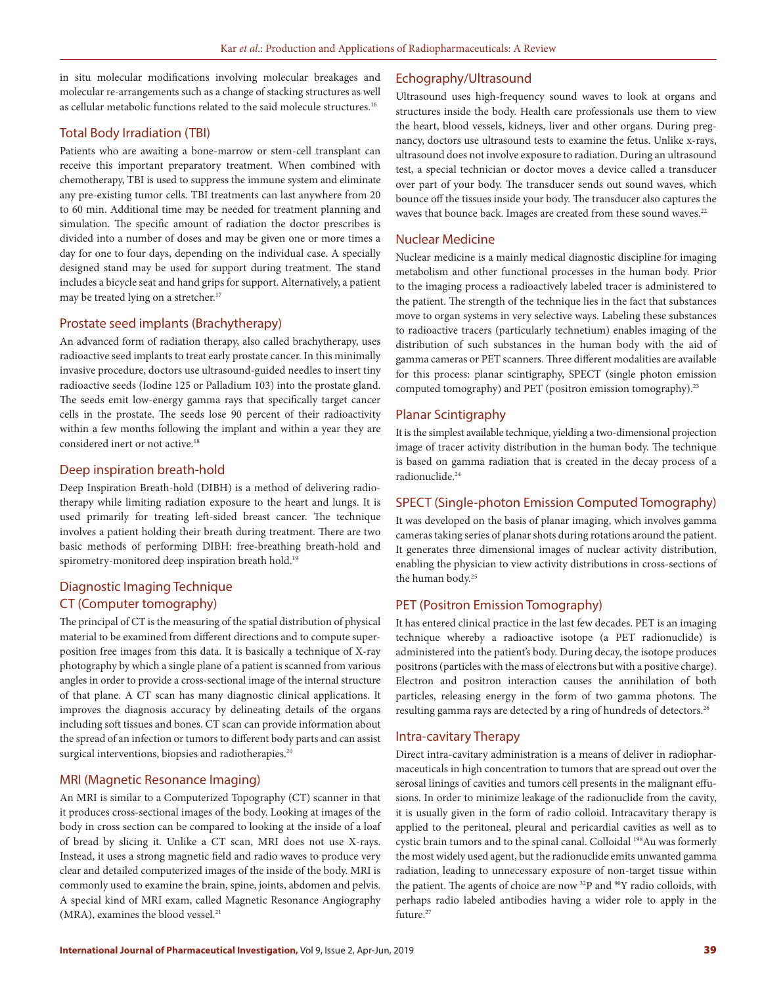in situ molecular modifications involving molecular breakages and molecular re-arrangements such as a change of stacking structures as well as cellular metabolic functions related to the said molecule structures.16

## Total Body Irradiation (TBI)

Patients who are awaiting a bone-marrow or stem-cell transplant can receive this important preparatory treatment. When combined with chemotherapy, TBI is used to suppress the immune system and eliminate any pre-existing tumor cells. TBI treatments can last anywhere from 20 to 60 min. Additional time may be needed for treatment planning and simulation. The specific amount of radiation the doctor prescribes is divided into a number of doses and may be given one or more times a day for one to four days, depending on the individual case. A specially designed stand may be used for support during treatment. The stand includes a bicycle seat and hand grips for support. Alternatively, a patient may be treated lying on a stretcher.<sup>17</sup>

## Prostate seed implants (Brachytherapy)

An advanced form of radiation therapy, also called brachytherapy, uses radioactive seed implants to treat early prostate cancer. In this minimally invasive procedure, doctors use ultrasound-guided needles to insert tiny radioactive seeds (Iodine 125 or Palladium 103) into the prostate gland. The seeds emit low-energy gamma rays that specifically target cancer cells in the prostate. The seeds lose 90 percent of their radioactivity within a few months following the implant and within a year they are considered inert or not active.18

## Deep inspiration breath-hold

Deep Inspiration Breath-hold (DIBH) is a method of delivering radiotherapy while limiting radiation exposure to the heart and lungs. It is used primarily for treating left-sided breast cancer. The technique involves a patient holding their breath during treatment. There are two basic methods of performing DIBH: free-breathing breath-hold and spirometry-monitored deep inspiration breath hold.<sup>19</sup>

## Diagnostic Imaging Technique CT (Computer tomography)

The principal of CT is the measuring of the spatial distribution of physical material to be examined from different directions and to compute superposition free images from this data. It is basically a technique of X-ray photography by which a single plane of a patient is scanned from various angles in order to provide a cross-sectional image of the internal structure of that plane. A CT scan has many diagnostic clinical applications. It improves the diagnosis accuracy by delineating details of the organs including soft tissues and bones. CT scan can provide information about the spread of an infection or tumors to different body parts and can assist surgical interventions, biopsies and radiotherapies.<sup>20</sup>

## MRI (Magnetic Resonance Imaging)

An MRI is similar to a Computerized Topography (CT) scanner in that it produces cross-sectional images of the body. Looking at images of the body in cross section can be compared to looking at the inside of a loaf of bread by slicing it. Unlike a CT scan, MRI does not use X-rays. Instead, it uses a strong magnetic field and radio waves to produce very clear and detailed computerized images of the inside of the body. MRI is commonly used to examine the brain, spine, joints, abdomen and pelvis. A special kind of MRI exam, called Magnetic Resonance Angiography (MRA), examines the blood vessel.<sup>21</sup>

## Echography/Ultrasound

Ultrasound uses high-frequency sound waves to look at organs and structures inside the body. Health care professionals use them to view the heart, blood vessels, kidneys, liver and other organs. During pregnancy, doctors use ultrasound tests to examine the fetus. Unlike x-rays, ultrasound does not involve exposure to radiation. During an ultrasound test, a special technician or doctor moves a device called a transducer over part of your body. The transducer sends out sound waves, which bounce off the tissues inside your body. The transducer also captures the waves that bounce back. Images are created from these sound waves.<sup>22</sup>

## Nuclear Medicine

Nuclear medicine is a mainly medical diagnostic discipline for imaging metabolism and other functional processes in the human body. Prior to the imaging process a radioactively labeled tracer is administered to the patient. The strength of the technique lies in the fact that substances move to organ systems in very selective ways. Labeling these substances to radioactive tracers (particularly technetium) enables imaging of the distribution of such substances in the human body with the aid of gamma cameras or PET scanners. Three different modalities are available for this process: planar scintigraphy, SPECT (single photon emission computed tomography) and PET (positron emission tomography).<sup>23</sup>

## Planar Scintigraphy

It is the simplest available technique, yielding a two-dimensional projection image of tracer activity distribution in the human body. The technique is based on gamma radiation that is created in the decay process of a radionuclide.24

## SPECT (Single-photon Emission Computed Tomography)

It was developed on the basis of planar imaging, which involves gamma cameras taking series of planar shots during rotations around the patient. It generates three dimensional images of nuclear activity distribution, enabling the physician to view activity distributions in cross-sections of the human body.25

## PET (Positron Emission Tomography)

It has entered clinical practice in the last few decades. PET is an imaging technique whereby a radioactive isotope (a PET radionuclide) is administered into the patient's body. During decay, the isotope produces positrons (particles with the mass of electrons but with a positive charge). Electron and positron interaction causes the annihilation of both particles, releasing energy in the form of two gamma photons. The resulting gamma rays are detected by a ring of hundreds of detectors.26

### Intra-cavitary Therapy

Direct intra-cavitary administration is a means of deliver in radiopharmaceuticals in high concentration to tumors that are spread out over the serosal linings of cavities and tumors cell presents in the malignant effusions. In order to minimize leakage of the radionuclide from the cavity, it is usually given in the form of radio colloid. Intracavitary therapy is applied to the peritoneal, pleural and pericardial cavities as well as to cystic brain tumors and to the spinal canal. Colloidal <sup>198</sup>Au was formerly the most widely used agent, but the radionuclide emits unwanted gamma radiation, leading to unnecessary exposure of non-target tissue within the patient. The agents of choice are now  $32P$  and  $90Y$  radio colloids, with perhaps radio labeled antibodies having a wider role to apply in the future.<sup>27</sup>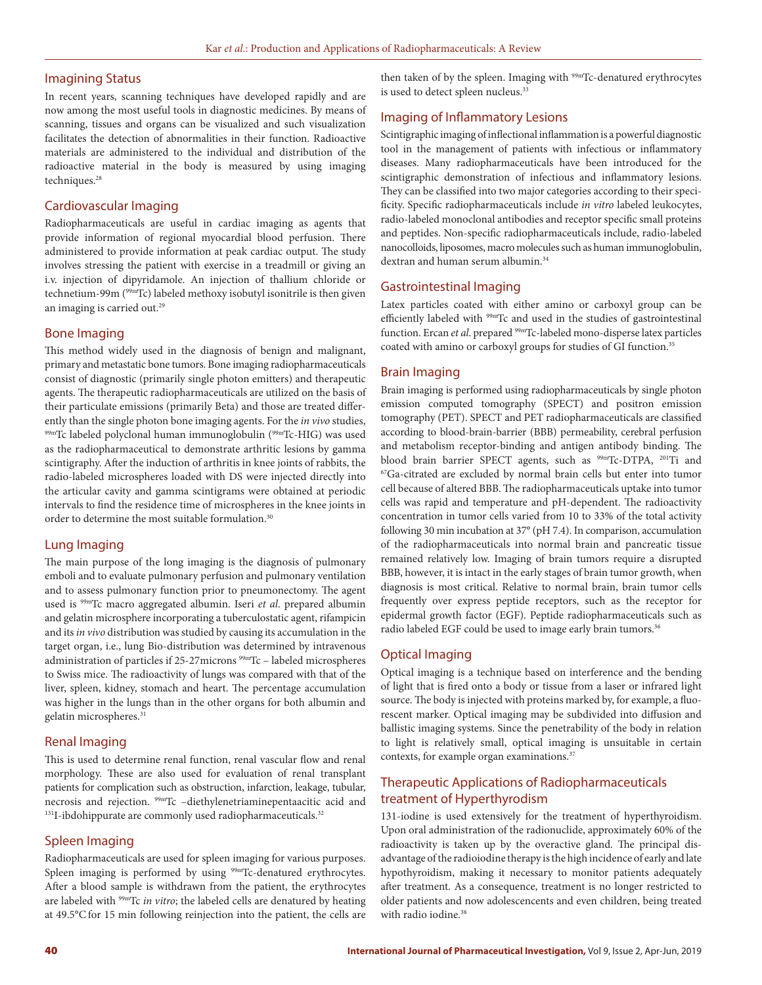#### Imagining Status

In recent years, scanning techniques have developed rapidly and are now among the most useful tools in diagnostic medicines. By means of scanning, tissues and organs can be visualized and such visualization facilitates the detection of abnormalities in their function. Radioactive materials are administered to the individual and distribution of the radioactive material in the body is measured by using imaging techniques.<sup>28</sup>

## Cardiovascular Imaging

Radiopharmaceuticals are useful in cardiac imaging as agents that provide information of regional myocardial blood perfusion. There administered to provide information at peak cardiac output. The study involves stressing the patient with exercise in a treadmill or giving an i.v. injection of dipyridamole. An injection of thallium chloride or technetium-99m (99mTc) labeled methoxy isobutyl isonitrile is then given an imaging is carried out.<sup>29</sup>

#### Bone Imaging

This method widely used in the diagnosis of benign and malignant, primary and metastatic bone tumors. Bone imaging radiopharmaceuticals consist of diagnostic (primarily single photon emitters) and therapeutic agents. The therapeutic radiopharmaceuticals are utilized on the basis of their particulate emissions (primarily Beta) and those are treated differently than the single photon bone imaging agents. For the *in vivo* studies, 99mTc labeled polyclonal human immunoglobulin (99mTc-HIG) was used as the radiopharmaceutical to demonstrate arthritic lesions by gamma scintigraphy. After the induction of arthritis in knee joints of rabbits, the radio-labeled microspheres loaded with DS were injected directly into the articular cavity and gamma scintigrams were obtained at periodic intervals to find the residence time of microspheres in the knee joints in order to determine the most suitable formulation.<sup>30</sup>

### Lung Imaging

The main purpose of the long imaging is the diagnosis of pulmonary emboli and to evaluate pulmonary perfusion and pulmonary ventilation and to assess pulmonary function prior to pneumonectomy. The agent used is 99mTc macro aggregated albumin. Iseri *et al*. prepared albumin and gelatin microsphere incorporating a tuberculostatic agent, rifampicin and its *in vivo* distribution was studied by causing its accumulation in the target organ, i.e., lung Bio-distribution was determined by intravenous administration of particles if 25-27microns 99mTc – labeled microspheres to Swiss mice. The radioactivity of lungs was compared with that of the liver, spleen, kidney, stomach and heart. The percentage accumulation was higher in the lungs than in the other organs for both albumin and gelatin microspheres.<sup>31</sup>

#### Renal Imaging

This is used to determine renal function, renal vascular flow and renal morphology. These are also used for evaluation of renal transplant patients for complication such as obstruction, infarction, leakage, tubular, necrosis and rejection. <sup>99mT</sup>C –diethylenetriaminepentaacitic acid and <sup>131</sup>I-ibdohippurate are commonly used radiopharmaceuticals.<sup>32</sup>

#### Spleen Imaging

Radiopharmaceuticals are used for spleen imaging for various purposes. Spleen imaging is performed by using <sup>99mT</sup>c-denatured erythrocytes. After a blood sample is withdrawn from the patient, the erythrocytes are labeled with 99mTc *in vitro*; the labeled cells are denatured by heating at 49.5°C for 15 min following reinjection into the patient, the cells are

then taken of by the spleen. Imaging with <sup>99mT</sup>C-denatured erythrocytes is used to detect spleen nucleus.<sup>33</sup>

## Imaging of Inflammatory Lesions

Scintigraphic imaging of inflectional inflammation is a powerful diagnostic tool in the management of patients with infectious or inflammatory diseases. Many radiopharmaceuticals have been introduced for the scintigraphic demonstration of infectious and inflammatory lesions. They can be classified into two major categories according to their specificity. Specific radiopharmaceuticals include *in vitro* labeled leukocytes, radio-labeled monoclonal antibodies and receptor specific small proteins and peptides. Non-specific radiopharmaceuticals include, radio-labeled nanocolloids, liposomes, macro molecules such as human immunoglobulin, dextran and human serum albumin.<sup>34</sup>

## Gastrointestinal Imaging

Latex particles coated with either amino or carboxyl group can be efficiently labeled with <sup>99mT</sup>c and used in the studies of gastrointestinal function. Ercan *et al*. prepared 99mTc-labeled mono-disperse latex particles coated with amino or carboxyl groups for studies of GI function.<sup>35</sup>

#### Brain Imaging

Brain imaging is performed using radiopharmaceuticals by single photon emission computed tomography (SPECT) and positron emission tomography (PET). SPECT and PET radiopharmaceuticals are classified according to blood-brain-barrier (BBB) permeability, cerebral perfusion and metabolism receptor-binding and antigen antibody binding. The blood brain barrier SPECT agents, such as  $^{99m}$ Tc-DTPA,  $^{201}$ Ti and  $^{67}$ Ga-citrated are excluded by normal brain cells but enter into tumor cell because of altered BBB. The radiopharmaceuticals uptake into tumor cells was rapid and temperature and pH-dependent. The radioactivity concentration in tumor cells varied from 10 to 33% of the total activity following 30 min incubation at 37° (pH 7.4). In comparison, accumulation of the radiopharmaceuticals into normal brain and pancreatic tissue remained relatively low. Imaging of brain tumors require a disrupted BBB, however, it is intact in the early stages of brain tumor growth, when diagnosis is most critical. Relative to normal brain, brain tumor cells frequently over express peptide receptors, such as the receptor for epidermal growth factor (EGF). Peptide radiopharmaceuticals such as radio labeled EGF could be used to image early brain tumors.<sup>36</sup>

#### Optical Imaging

Optical imaging is a technique based on interference and the bending of light that is fired onto a body or tissue from a laser or infrared light source. The body is injected with proteins marked by, for example, a fluorescent marker. Optical imaging may be subdivided into diffusion and ballistic imaging systems. Since the penetrability of the body in relation to light is relatively small, optical imaging is unsuitable in certain contexts, for example organ examinations.<sup>37</sup>

# Therapeutic Applications of Radiopharmaceuticals treatment of Hyperthyrodism

131-iodine is used extensively for the treatment of hyperthyroidism. Upon oral administration of the radionuclide, approximately 60% of the radioactivity is taken up by the overactive gland. The principal disadvantage of the radioiodine therapy is the high incidence of early and late hypothyroidism, making it necessary to monitor patients adequately after treatment. As a consequence, treatment is no longer restricted to older patients and now adolescencents and even children, being treated with radio iodine.<sup>38</sup>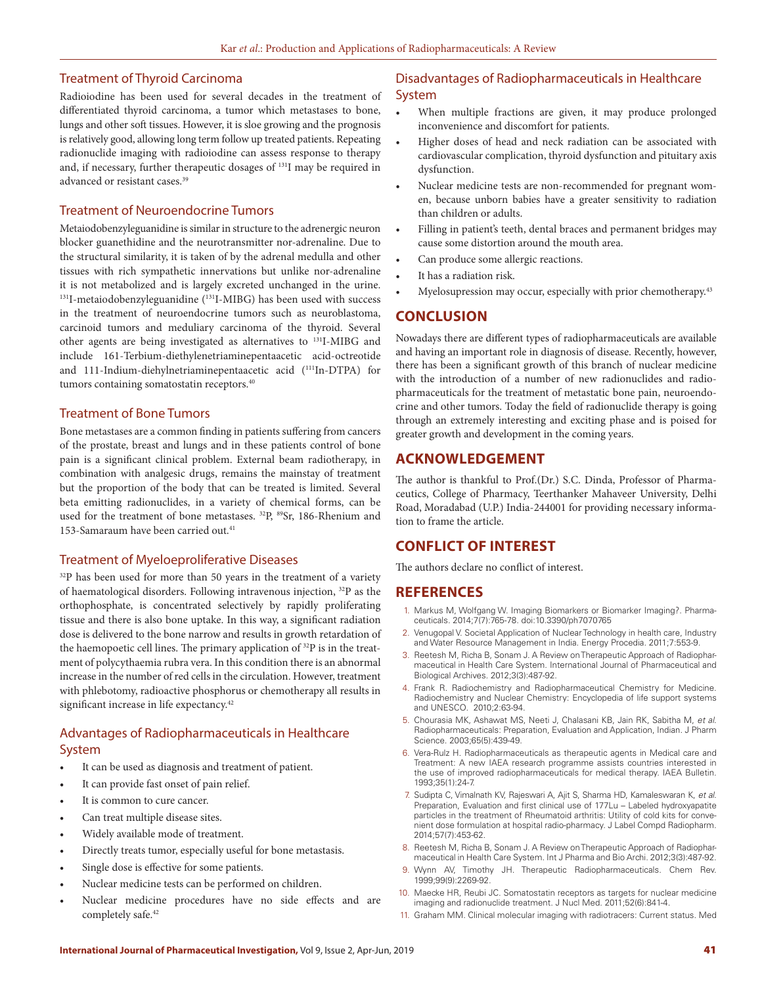## Treatment of Thyroid Carcinoma

Radioiodine has been used for several decades in the treatment of differentiated thyroid carcinoma, a tumor which metastases to bone, lungs and other soft tissues. However, it is sloe growing and the prognosis is relatively good, allowing long term follow up treated patients. Repeating radionuclide imaging with radioiodine can assess response to therapy and, if necessary, further therapeutic dosages of 131I may be required in advanced or resistant cases.<sup>39</sup>

#### Treatment of Neuroendocrine Tumors

Metaiodobenzyleguanidine is similar in structure to the adrenergic neuron blocker guanethidine and the neurotransmitter nor-adrenaline. Due to the structural similarity, it is taken of by the adrenal medulla and other tissues with rich sympathetic innervations but unlike nor-adrenaline it is not metabolized and is largely excreted unchanged in the urine. 131I-metaiodobenzyleguanidine (131I-MIBG) has been used with success in the treatment of neuroendocrine tumors such as neuroblastoma, carcinoid tumors and meduliary carcinoma of the thyroid. Several other agents are being investigated as alternatives to 131I-MIBG and include 161-Terbium-diethylenetriaminepentaacetic acid-octreotide and 111-Indium-diehylnetriaminepentaacetic acid (111In-DTPA) for tumors containing somatostatin receptors.<sup>40</sup>

## Treatment of Bone Tumors

Bone metastases are a common finding in patients suffering from cancers of the prostate, breast and lungs and in these patients control of bone pain is a significant clinical problem. External beam radiotherapy, in combination with analgesic drugs, remains the mainstay of treatment but the proportion of the body that can be treated is limited. Several beta emitting radionuclides, in a variety of chemical forms, can be used for the treatment of bone metastases. <sup>32</sup>P, <sup>89</sup>Sr, 186-Rhenium and 153-Samaraum have been carried out.41

#### Treatment of Myeloeproliferative Diseases

 $32P$  has been used for more than 50 years in the treatment of a variety of haematological disorders. Following intravenous injection, 32P as the orthophosphate, is concentrated selectively by rapidly proliferating tissue and there is also bone uptake. In this way, a significant radiation dose is delivered to the bone narrow and results in growth retardation of the haemopoetic cell lines. The primary application of <sup>32</sup>P is in the treatment of polycythaemia rubra vera. In this condition there is an abnormal increase in the number of red cells in the circulation. However, treatment with phlebotomy, radioactive phosphorus or chemotherapy all results in significant increase in life expectancy.<sup>42</sup>

# Advantages of Radiopharmaceuticals in Healthcare System

- It can be used as diagnosis and treatment of patient.
- It can provide fast onset of pain relief.
- It is common to cure cancer.
- Can treat multiple disease sites.
- Widely available mode of treatment.
- Directly treats tumor, especially useful for bone metastasis.
- Single dose is effective for some patients.
- Nuclear medicine tests can be performed on children.
- Nuclear medicine procedures have no side effects and are completely safe.<sup>42</sup>

## Disadvantages of Radiopharmaceuticals in Healthcare System

- When multiple fractions are given, it may produce prolonged inconvenience and discomfort for patients.
- Higher doses of head and neck radiation can be associated with cardiovascular complication, thyroid dysfunction and pituitary axis dysfunction.
- Nuclear medicine tests are non-recommended for pregnant women, because unborn babies have a greater sensitivity to radiation than children or adults.
- Filling in patient's teeth, dental braces and permanent bridges may cause some distortion around the mouth area.
- Can produce some allergic reactions.
- It has a radiation risk.
- Myelosupression may occur, especially with prior chemotherapy.<sup>43</sup>

#### **CONCLUSION**

Nowadays there are different types of radiopharmaceuticals are available and having an important role in diagnosis of disease. Recently, however, there has been a significant growth of this branch of nuclear medicine with the introduction of a number of new radionuclides and radiopharmaceuticals for the treatment of metastatic bone pain, neuroendocrine and other tumors. Today the field of radionuclide therapy is going through an extremely interesting and exciting phase and is poised for greater growth and development in the coming years.

## **ACKNOWLEDGEMENT**

The author is thankful to Prof.(Dr.) S.C. Dinda, Professor of Pharmaceutics, College of Pharmacy, Teerthanker Mahaveer University, Delhi Road, Moradabad (U.P.) India-244001 for providing necessary information to frame the article.

## **CONFLICT OF INTEREST**

The authors declare no conflict of interest.

## **REFERENCES**

- 1. Markus M, Wolfgang W. Imaging Biomarkers or Biomarker Imaging?. Pharmaceuticals. 2014;7(7):765-78. doi:10.3390/ph7070765
- 2. Venugopal V. Societal Application of Nuclear Technology in health care, Industry and Water Resource Management in India. Energy Procedia. 2011;7:553-9.
- 3. Reetesh M, Richa B, Sonam J. A Review on Therapeutic Approach of Radiopharmaceutical in Health Care System. International Journal of Pharmaceutical and Biological Archives. 2012;3(3):487-92.
- 4. Frank R. Radiochemistry and Radiopharmaceutical Chemistry for Medicine. Radiochemistry and Nuclear Chemistry: Encyclopedia of life support systems and UNESCO. 2010;2:63-94.
- 5. Chourasia MK, Ashawat MS, Neeti J, Chalasani KB, Jain RK, Sabitha M, *et al*. Radiopharmaceuticals: Preparation, Evaluation and Application, Indian. J Pharm Science. 2003;65(5):439-49.
- 6. Vera-Rulz H. Radiopharmaceuticals as therapeutic agents in Medical care and Treatment: A new IAEA research programme assists countries interested in the use of improved radiopharmaceuticals for medical therapy. IAEA Bulletin. 1993;35(1):24-7.
- 7. Sudipta C, Vimalnath KV, Rajeswari A, Ajit S, Sharma HD, Kamaleswaran K, *et al.*  Preparation, Evaluation and first clinical use of 177Lu – Labeled hydroxyapatite particles in the treatment of Rheumatoid arthritis: Utility of cold kits for convenient dose formulation at hospital radio-pharmacy. J Label Compd Radiopharm. 2014;57(7):453-62.
- 8. Reetesh M, Richa B, Sonam J. A Review on Therapeutic Approach of Radiopharmaceutical in Health Care System. Int J Pharma and Bio Archi. 2012;3(3):487-92.
- 9. Wynn AV, Timothy JH. Therapeutic Radiopharmaceuticals. Chem Rev. 1999;99(9):2269-92.
- 10. Maecke HR, Reubi JC. Somatostatin receptors as targets for nuclear medicine imaging and radionuclide treatment. J Nucl Med. 2011;52(6):841-4.
- 11. Graham MM. Clinical molecular imaging with radiotracers: Current status. Med